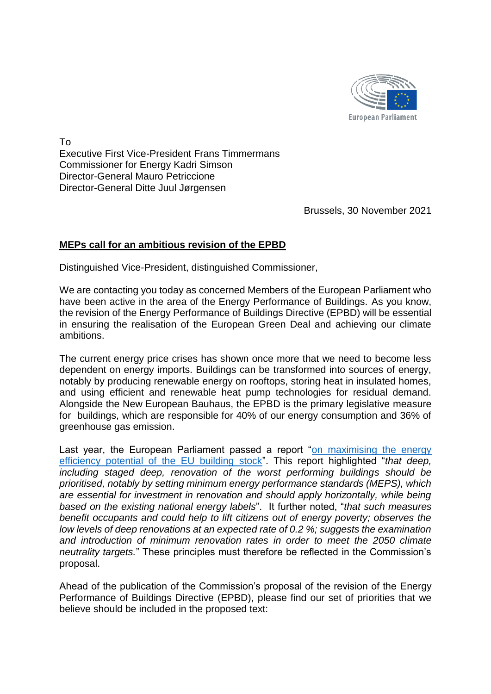

To Executive First Vice-President Frans Timmermans Commissioner for Energy Kadri Simson Director-General Mauro Petriccione Director-General Ditte Juul Jørgensen

Brussels, 30 November 2021

## **MEPs call for an ambitious revision of the EPBD**

Distinguished Vice-President, distinguished Commissioner,

We are contacting you today as concerned Members of the European Parliament who have been active in the area of the Energy Performance of Buildings. As you know, the revision of the Energy Performance of Buildings Directive (EPBD) will be essential in ensuring the realisation of the European Green Deal and achieving our climate ambitions.

The current energy price crises has shown once more that we need to become less dependent on energy imports. Buildings can be transformed into sources of energy, notably by producing renewable energy on rooftops, storing heat in insulated homes, and using efficient and renewable heat pump technologies for residual demand. Alongside the New European Bauhaus, the EPBD is the primary legislative measure for buildings, which are responsible for 40% of our energy consumption and 36% of greenhouse gas emission.

Last year, the European Parliament passed a report "on maximising the energy [efficiency potential of the EU building stock"](https://www.europarl.europa.eu/doceo/document/A-9-2020-0134_EN.pdf). This report highlighted "*that deep, including staged deep, renovation of the worst performing buildings should be prioritised, notably by setting minimum energy performance standards (MEPS), which are essential for investment in renovation and should apply horizontally, while being based on the existing national energy labels*". It further noted, "*that such measures benefit occupants and could help to lift citizens out of energy poverty; observes the low levels of deep renovations at an expected rate of 0.2 %; suggests the examination and introduction of minimum renovation rates in order to meet the 2050 climate neutrality targets.*" These principles must therefore be reflected in the Commission's proposal.

Ahead of the publication of the Commission's proposal of the revision of the Energy Performance of Buildings Directive (EPBD), please find our set of priorities that we believe should be included in the proposed text: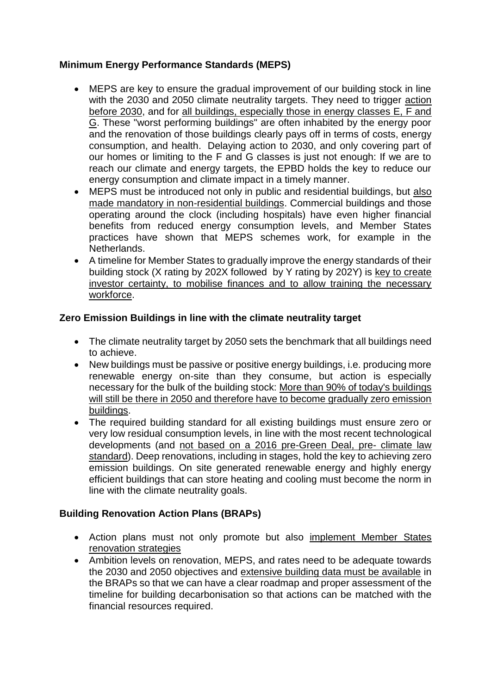## **Minimum Energy Performance Standards (MEPS)**

- MEPS are key to ensure the gradual improvement of our building stock in line with the 2030 and 2050 climate neutrality targets. They need to trigger action before 2030, and for all buildings, especially those in energy classes E, F and G. These "worst performing buildings" are often inhabited by the energy poor and the renovation of those buildings clearly pays off in terms of costs, energy consumption, and health. Delaying action to 2030, and only covering part of our homes or limiting to the F and G classes is just not enough: If we are to reach our climate and energy targets, the EPBD holds the key to reduce our energy consumption and climate impact in a timely manner.
- MEPS must be introduced not only in public and residential buildings, but also made mandatory in non-residential buildings. Commercial buildings and those operating around the clock (including hospitals) have even higher financial benefits from reduced energy consumption levels, and Member States practices have shown that MEPS schemes work, for example in the Netherlands.
- A timeline for Member States to gradually improve the energy standards of their building stock (X rating by 202X followed by Y rating by 202Y) is key to create investor certainty, to mobilise finances and to allow training the necessary workforce.

## **Zero Emission Buildings in line with the climate neutrality target**

- The climate neutrality target by 2050 sets the benchmark that all buildings need to achieve.
- New buildings must be passive or positive energy buildings, i.e. producing more renewable energy on-site than they consume, but action is especially necessary for the bulk of the building stock: More than 90% of today's buildings will still be there in 2050 and therefore have to become gradually zero emission buildings.
- The required building standard for all existing buildings must ensure zero or very low residual consumption levels, in line with the most recent technological developments (and not based on a 2016 pre-Green Deal, pre- climate law standard). Deep renovations, including in stages, hold the key to achieving zero emission buildings. On site generated renewable energy and highly energy efficient buildings that can store heating and cooling must become the norm in line with the climate neutrality goals.

## **Building Renovation Action Plans (BRAPs)**

- Action plans must not only promote but also implement Member States renovation strategies
- Ambition levels on renovation, MEPS, and rates need to be adequate towards the 2030 and 2050 objectives and extensive building data must be available in the BRAPs so that we can have a clear roadmap and proper assessment of the timeline for building decarbonisation so that actions can be matched with the financial resources required.